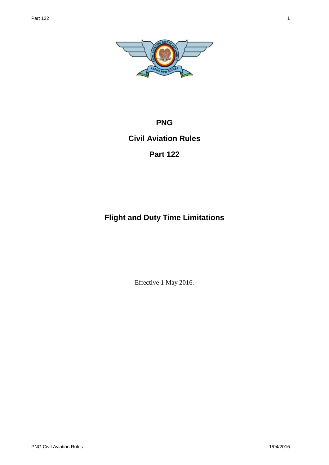

# **PNG**

# **Civil Aviation Rules**

# **Part 122**

# **Flight and Duty Time Limitations**

Effective 1 May 2016.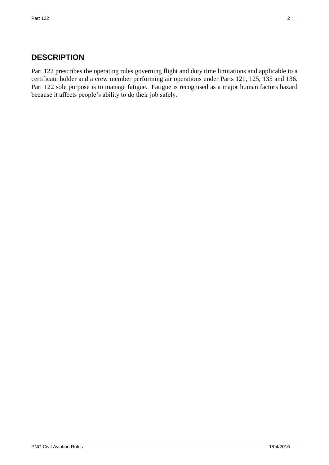# **DESCRIPTION**

Part 122 prescribes the operating rules governing flight and duty time limitations and applicable to a certificate holder and a crew member performing air operations under Parts 121, 125, 135 and 136. Part 122 sole purpose is to manage fatigue. Fatigue is recognised as a major human factors hazard because it affects people's ability to do their job safely.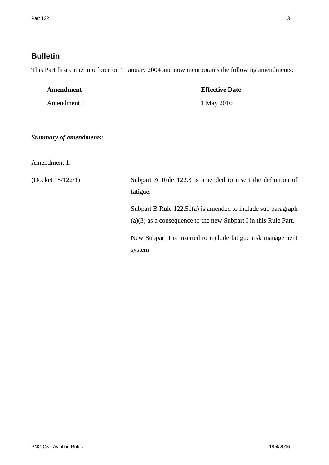# **Bulletin**

This Part first came into force on 1 January 2004 and now incorporates the following amendments:

| Amendment   | <b>Effective Date</b> |
|-------------|-----------------------|
| Amendment 1 | 1 May 2016            |

### *Summary of amendments:*

Amendment 1:

(Docket 15/122/1) Subpart A Rule 122.3 is amended to insert the definition of fatigue.

> Subpart B Rule 122.51(a) is amended to include sub paragraph (a)(3) as a consequence to the new Subpart I in this Rule Part.

> New Subpart I is inserted to include fatigue risk management system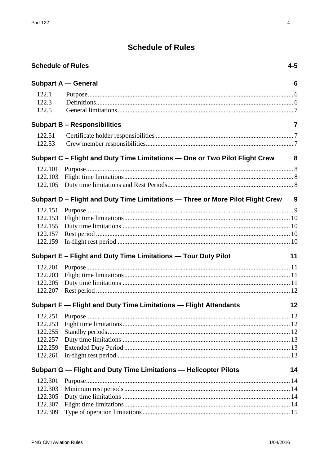# **Schedule of Rules**

<span id="page-3-0"></span>

| <b>Schedule of Rules</b> |                                                                                | $4 - 5$ |
|--------------------------|--------------------------------------------------------------------------------|---------|
|                          | <b>Subpart A – General</b>                                                     | 6       |
| 122.1                    |                                                                                |         |
| 122.3                    |                                                                                |         |
| 122.5                    |                                                                                |         |
|                          | <b>Subpart B - Responsibilities</b>                                            | 7       |
| 122.51                   |                                                                                |         |
| 122.53                   |                                                                                |         |
|                          | Subpart C – Flight and Duty Time Limitations – One or Two Pilot Flight Crew    | 8       |
| 122.101                  |                                                                                |         |
| 122.103                  |                                                                                |         |
| 122.105                  |                                                                                |         |
|                          | Subpart D - Flight and Duty Time Limitations - Three or More Pilot Flight Crew | 9       |
| 122.151                  |                                                                                |         |
| 122.153                  |                                                                                |         |
| 122.155                  |                                                                                |         |
| 122.157                  |                                                                                |         |
| 122.159                  |                                                                                |         |
|                          | Subpart E - Flight and Duty Time Limitations - Tour Duty Pilot                 | 11      |
| 122.201                  |                                                                                |         |
| 122.203                  |                                                                                |         |
| 122.205                  |                                                                                |         |
| 122.207                  |                                                                                |         |
|                          | Subpart F - Flight and Duty Time Limitations - Flight Attendants               | 12      |
| 122.251                  |                                                                                |         |
| 122.253                  |                                                                                |         |
| 122.255                  |                                                                                |         |
| 122.257                  |                                                                                |         |
| 122.259                  |                                                                                |         |
| 122.261                  |                                                                                |         |
|                          | Subpart G - Flight and Duty Time Limitations - Helicopter Pilots               | 14      |
| 122.301                  |                                                                                |         |
| 122.303                  |                                                                                |         |
| 122.305                  |                                                                                |         |
| 122.307                  |                                                                                |         |
| 122.309                  |                                                                                |         |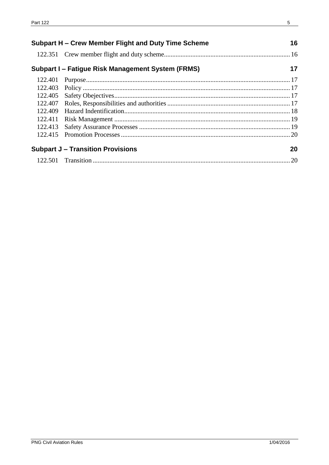| Subpart H – Crew Member Flight and Duty Time Scheme |                                                   | 16 |
|-----------------------------------------------------|---------------------------------------------------|----|
|                                                     |                                                   |    |
|                                                     | Subpart I – Fatigue Risk Management System (FRMS) | 17 |
| 122.401                                             |                                                   |    |
| 122.403                                             |                                                   |    |
| 122.405                                             |                                                   |    |
| 122.407                                             |                                                   |    |
| 122.409                                             |                                                   |    |
| 122.411                                             |                                                   |    |
| 122.413                                             |                                                   |    |
| 122.415                                             |                                                   |    |
|                                                     | <b>Subpart J - Transition Provisions</b>          | 20 |
|                                                     |                                                   | 20 |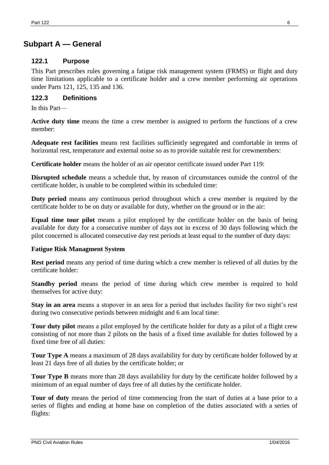# <span id="page-5-0"></span>**Subpart A — General**

# <span id="page-5-1"></span>**122.1 Purpose**

This Part prescribes rules governing a fatigue risk management system (FRMS) or flight and duty time limitations applicable to a certificate holder and a crew member performing air operations under Parts 121, 125, 135 and 136.

# <span id="page-5-2"></span>**122.3 Definitions**

In this Part—

**Active duty time** means the time a crew member is assigned to perform the functions of a crew member:

**Adequate rest facilities** means rest facilities sufficiently segregated and comfortable in terms of horizontal rest, temperature and external noise so as to provide suitable rest for crewmembers:

**Certificate holder** means the holder of an air operator certificate issued under Part 119:

**Disrupted schedule** means a schedule that, by reason of circumstances outside the control of the certificate holder, is unable to be completed within its scheduled time:

**Duty period** means any continuous period throughout which a crew member is required by the certificate holder to be on duty or available for duty, whether on the ground or in the air:

**Equal time tour pilot** means a pilot employed by the certificate holder on the basis of being available for duty for a consecutive number of days not in excess of 30 days following which the pilot concerned is allocated consecutive day rest periods at least equal to the number of duty days:

# **Fatigue Risk Managment System**

**Rest period** means any period of time during which a crew member is relieved of all duties by the certificate holder:

**Standby period** means the period of time during which crew member is required to hold themselves for active duty:

**Stay in an area** means a stopover in an area for a period that includes facility for two night's rest during two consecutive periods between midnight and 6 am local time:

**Tour duty pilot** means a pilot employed by the certificate holder for duty as a pilot of a flight crew consisting of not more than 2 pilots on the basis of a fixed time available for duties followed by a fixed time free of all duties:

**Tour Type A** means a maximum of 28 days availability for duty by certificate holder followed by at least 21 days free of all duties by the certificate holder; or

**Tour Type B** means more than 28 days availability for duty by the certificate holder followed by a minimum of an equal number of days free of all duties by the certificate holder.

**Tour of duty** means the period of time commencing from the start of duties at a base prior to a series of flights and ending at home base on completion of the duties associated with a series of flights: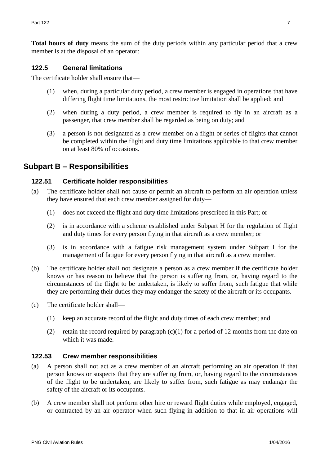**Total hours of duty** means the sum of the duty periods within any particular period that a crew member is at the disposal of an operator:

### <span id="page-6-0"></span>**122.5 General limitations**

The certificate holder shall ensure that—

- (1) when, during a particular duty period, a crew member is engaged in operations that have differing flight time limitations, the most restrictive limitation shall be applied; and
- (2) when during a duty period, a crew member is required to fly in an aircraft as a passenger, that crew member shall be regarded as being on duty; and
- (3) a person is not designated as a crew member on a flight or series of flights that cannot be completed within the flight and duty time limitations applicable to that crew member on at least 80% of occasions.

# <span id="page-6-1"></span>**Subpart B – Responsibilities**

### <span id="page-6-2"></span>**122.51 Certificate holder responsibilities**

- (a) The certificate holder shall not cause or permit an aircraft to perform an air operation unless they have ensured that each crew member assigned for duty—
	- (1) does not exceed the flight and duty time limitations prescribed in this Part; or
	- (2) is in accordance with a scheme established under Subpart H for the regulation of flight and duty times for every person flying in that aircraft as a crew member; or
	- (3) is in accordance with a fatigue risk management system under Subpart I for the management of fatigue for every person flying in that aircraft as a crew member.
- (b) The certificate holder shall not designate a person as a crew member if the certificate holder knows or has reason to believe that the person is suffering from, or, having regard to the circumstances of the flight to be undertaken, is likely to suffer from, such fatigue that while they are performing their duties they may endanger the safety of the aircraft or its occupants.
- (c) The certificate holder shall—
	- (1) keep an accurate record of the flight and duty times of each crew member; and
	- (2) retain the record required by paragraph  $(c)(1)$  for a period of 12 months from the date on which it was made.

#### <span id="page-6-3"></span>**122.53 Crew member responsibilities**

- (a) A person shall not act as a crew member of an aircraft performing an air operation if that person knows or suspects that they are suffering from, or, having regard to the circumstances of the flight to be undertaken, are likely to suffer from, such fatigue as may endanger the safety of the aircraft or its occupants.
- (b) A crew member shall not perform other hire or reward flight duties while employed, engaged, or contracted by an air operator when such flying in addition to that in air operations will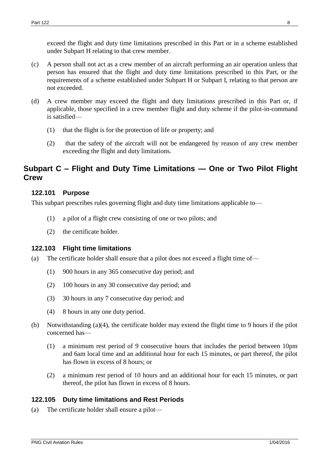exceed the flight and duty time limitations prescribed in this Part or in a scheme established under Subpart H relating to that crew member.

- (c) A person shall not act as a crew member of an aircraft performing an air operation unless that person has ensured that the flight and duty time limitations prescribed in this Part, or the requirements of a scheme established under Subpart H or Subpart I, relating to that person are not exceeded.
- (d) A crew member may exceed the flight and duty limitations prescribed in this Part or, if applicable, those specified in a crew member flight and duty scheme if the pilot-in-command is satisfied—
	- (1) that the flight is for the protection of life or property; and
	- (2) that the safety of the aircraft will not be endangered by reason of any crew member exceeding the flight and duty limitations.

# <span id="page-7-0"></span>**Subpart C – Flight and Duty Time Limitations — One or Two Pilot Flight Crew**

### <span id="page-7-1"></span>**122.101 Purpose**

This subpart prescribes rules governing flight and duty time limitations applicable to—

- (1) a pilot of a flight crew consisting of one or two pilots; and
- (2) the certificate holder.

# <span id="page-7-2"></span>**122.103 Flight time limitations**

- (a) The certificate holder shall ensure that a pilot does not exceed a flight time of—
	- (1) 900 hours in any 365 consecutive day period; and
	- (2) 100 hours in any 30 consecutive day period; and
	- (3) 30 hours in any 7 consecutive day period; and
	- (4) 8 hours in any one duty period.
- (b) Notwithstanding (a)(4), the certificate holder may extend the flight time to 9 hours if the pilot concerned has—
	- (1) a minimum rest period of 9 consecutive hours that includes the period between 10pm and 6am local time and an additional hour for each 15 minutes, or part thereof, the pilot has flown in excess of 8 hours; or
	- (2) a minimum rest period of 10 hours and an additional hour for each 15 minutes, or part thereof, the pilot has flown in excess of 8 hours.

# <span id="page-7-3"></span>**122.105 Duty time limitations and Rest Periods**

(a) The certificate holder shall ensure a pilot—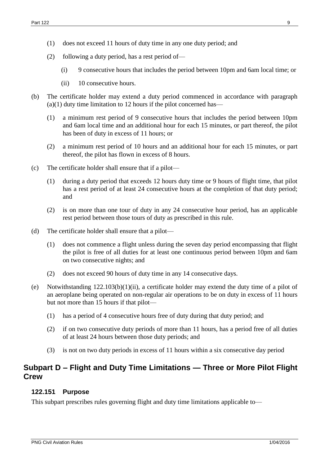- (2) following a duty period, has a rest period of—
	- (i) 9 consecutive hours that includes the period between 10pm and 6am local time; or
	- (ii) 10 consecutive hours.
- (b) The certificate holder may extend a duty period commenced in accordance with paragraph  $(a)(1)$  duty time limitation to 12 hours if the pilot concerned has—
	- (1) a minimum rest period of 9 consecutive hours that includes the period between 10pm and 6am local time and an additional hour for each 15 minutes, or part thereof, the pilot has been of duty in excess of 11 hours; or
	- (2) a minimum rest period of 10 hours and an additional hour for each 15 minutes, or part thereof, the pilot has flown in excess of 8 hours.
- (c) The certificate holder shall ensure that if a pilot—
	- (1) during a duty period that exceeds 12 hours duty time or 9 hours of flight time, that pilot has a rest period of at least 24 consecutive hours at the completion of that duty period; and
	- (2) is on more than one tour of duty in any 24 consecutive hour period, has an applicable rest period between those tours of duty as prescribed in this rule.
- (d) The certificate holder shall ensure that a pilot—
	- (1) does not commence a flight unless during the seven day period encompassing that flight the pilot is free of all duties for at least one continuous period between 10pm and 6am on two consecutive nights; and
	- (2) does not exceed 90 hours of duty time in any 14 consecutive days.
- (e) Notwithstanding 122.103(b)(1)(ii), a certificate holder may extend the duty time of a pilot of an aeroplane being operated on non-regular air operations to be on duty in excess of 11 hours but not more than 15 hours if that pilot—
	- (1) has a period of 4 consecutive hours free of duty during that duty period; and
	- (2) if on two consecutive duty periods of more than 11 hours, has a period free of all duties of at least 24 hours between those duty periods; and
	- (3) is not on two duty periods in excess of 11 hours within a six consecutive day period

# <span id="page-8-0"></span>**Subpart D – Flight and Duty Time Limitations — Three or More Pilot Flight Crew**

#### <span id="page-8-1"></span>**122.151 Purpose**

This subpart prescribes rules governing flight and duty time limitations applicable to—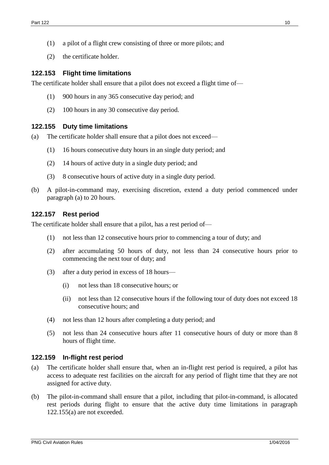- (1) a pilot of a flight crew consisting of three or more pilots; and
- (2) the certificate holder.

#### <span id="page-9-0"></span>**122.153 Flight time limitations**

The certificate holder shall ensure that a pilot does not exceed a flight time of—

- (1) 900 hours in any 365 consecutive day period; and
- (2) 100 hours in any 30 consecutive day period.

#### <span id="page-9-1"></span>**122.155 Duty time limitations**

- (a) The certificate holder shall ensure that a pilot does not exceed—
	- (1) 16 hours consecutive duty hours in an single duty period; and
	- (2) 14 hours of active duty in a single duty period; and
	- (3) 8 consecutive hours of active duty in a single duty period.
- (b) A pilot-in-command may, exercising discretion, extend a duty period commenced under paragraph (a) to 20 hours.

#### <span id="page-9-2"></span>**122.157 Rest period**

The certificate holder shall ensure that a pilot, has a rest period of—

- (1) not less than 12 consecutive hours prior to commencing a tour of duty; and
- (2) after accumulating 50 hours of duty, not less than 24 consecutive hours prior to commencing the next tour of duty; and
- (3) after a duty period in excess of 18 hours—
	- (i) not less than 18 consecutive hours; or
	- (ii) not less than 12 consecutive hours if the following tour of duty does not exceed 18 consecutive hours; and
- (4) not less than 12 hours after completing a duty period; and
- (5) not less than 24 consecutive hours after 11 consecutive hours of duty or more than 8 hours of flight time.

#### <span id="page-9-3"></span>**122.159 In-flight rest period**

- (a) The certificate holder shall ensure that, when an in-flight rest period is required, a pilot has access to adequate rest facilities on the aircraft for any period of flight time that they are not assigned for active duty.
- (b) The pilot-in-command shall ensure that a pilot, including that pilot-in-command, is allocated rest periods during flight to ensure that the active duty time limitations in paragraph 122.155(a) are not exceeded.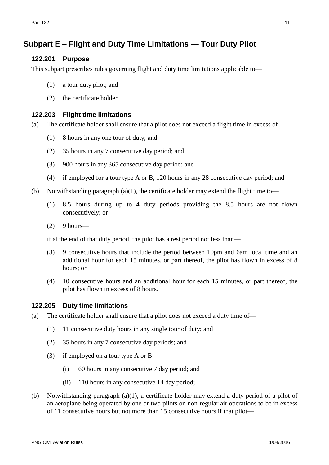# <span id="page-10-0"></span>**Subpart E – Flight and Duty Time Limitations — Tour Duty Pilot**

### <span id="page-10-1"></span>**122.201 Purpose**

This subpart prescribes rules governing flight and duty time limitations applicable to—

- (1) a tour duty pilot; and
- (2) the certificate holder.

#### <span id="page-10-2"></span>**122.203 Flight time limitations**

- (a) The certificate holder shall ensure that a pilot does not exceed a flight time in excess of—
	- (1) 8 hours in any one tour of duty; and
	- (2) 35 hours in any 7 consecutive day period; and
	- (3) 900 hours in any 365 consecutive day period; and
	- (4) if employed for a tour type A or B, 120 hours in any 28 consecutive day period; and
- (b) Notwithstanding paragraph  $(a)(1)$ , the certificate holder may extend the flight time to—
	- (1) 8.5 hours during up to 4 duty periods providing the 8.5 hours are not flown consecutively; or
	- $(2)$  9 hours—

if at the end of that duty period, the pilot has a rest period not less than—

- (3) 9 consecutive hours that include the period between 10pm and 6am local time and an additional hour for each 15 minutes, or part thereof, the pilot has flown in excess of 8 hours; or
- (4) 10 consecutive hours and an additional hour for each 15 minutes, or part thereof, the pilot has flown in excess of 8 hours.

# <span id="page-10-3"></span>**122.205 Duty time limitations**

- (a) The certificate holder shall ensure that a pilot does not exceed a duty time of—
	- (1) 11 consecutive duty hours in any single tour of duty; and
	- (2) 35 hours in any 7 consecutive day periods; and
	- (3) if employed on a tour type A or B—
		- (i) 60 hours in any consecutive 7 day period; and
		- (ii) 110 hours in any consecutive 14 day period;
- (b) Notwithstanding paragraph (a)(1), a certificate holder may extend a duty period of a pilot of an aeroplane being operated by one or two pilots on non-regular air operations to be in excess of 11 consecutive hours but not more than 15 consecutive hours if that pilot—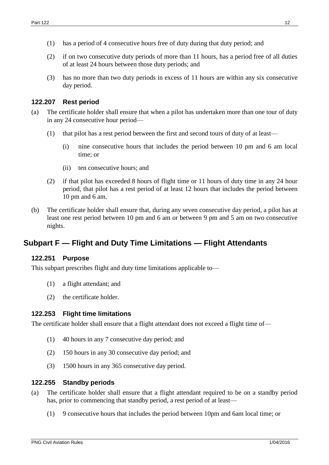- (1) has a period of 4 consecutive hours free of duty during that duty period; and
- (2) if on two consecutive duty periods of more than 11 hours, has a period free of all duties of at least 24 hours between those duty periods; and
- (3) has no more than two duty periods in excess of 11 hours are within any six consecutive day period.

#### <span id="page-11-0"></span>**122.207 Rest period**

- (a) The certificate holder shall ensure that when a pilot has undertaken more than one tour of duty in any 24 consecutive hour period—
	- (1) that pilot has a rest period between the first and second tours of duty of at least—
		- (i) nine consecutive hours that includes the period between 10 pm and 6 am local time; or
		- (ii) ten consecutive hours; and
	- (2) if that pilot has exceeded 8 hours of flight time or 11 hours of duty time in any 24 hour period, that pilot has a rest period of at least 12 hours that includes the period between 10 pm and 6 am.
- (b) The certificate holder shall ensure that, during any seven consecutive day period, a pilot has at least one rest period between 10 pm and 6 am or between 9 pm and 5 am on two consecutive nights.

# <span id="page-11-1"></span>**Subpart F — Flight and Duty Time Limitations — Flight Attendants**

#### <span id="page-11-2"></span>**122.251 Purpose**

This subpart prescribes flight and duty time limitations applicable to—

- (1) a flight attendant; and
- (2) the certificate holder.

#### <span id="page-11-3"></span>**122.253 Flight time limitations**

The certificate holder shall ensure that a flight attendant does not exceed a flight time of—

- (1) 40 hours in any 7 consecutive day period; and
- (2) 150 hours in any 30 consecutive day period; and
- (3) 1500 hours in any 365 consecutive day period.

#### <span id="page-11-4"></span>**122.255 Standby periods**

- (a) The certificate holder shall ensure that a flight attendant required to be on a standby period has, prior to commencing that standby period, a rest period of at least—
	- (1) 9 consecutive hours that includes the period between 10pm and 6am local time; or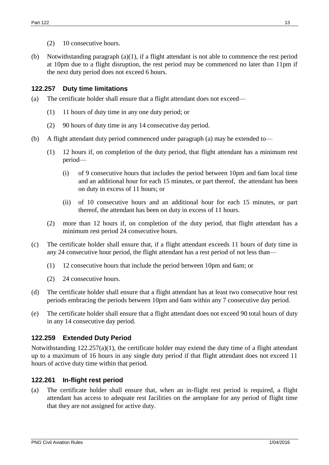- (2) 10 consecutive hours.
- (b) Notwithstanding paragraph (a)(1), if a flight attendant is not able to commence the rest period at 10pm due to a flight disruption, the rest period may be commenced no later than 11pm if the next duty period does not exceed 6 hours.

# <span id="page-12-0"></span>**122.257 Duty time limitations**

- (a) The certificate holder shall ensure that a flight attendant does not exceed—
	- (1) 11 hours of duty time in any one duty period; or
	- (2) 90 hours of duty time in any 14 consecutive day period.
- (b) A flight attendant duty period commenced under paragraph (a) may be extended to—
	- (1) 12 hours if, on completion of the duty period, that flight attendant has a minimum rest period—
		- (i) of 9 consecutive hours that includes the period between 10pm and 6am local time and an additional hour for each 15 minutes, or part thereof, the attendant has been on duty in excess of 11 hours; or
		- (ii) of 10 consecutive hours and an additional hour for each 15 minutes, or part thereof, the attendant has been on duty in excess of 11 hours.
	- (2) more than 12 hours if, on completion of the duty period, that flight attendant has a minimum rest period 24 consecutive hours.
- (c) The certificate holder shall ensure that, if a flight attendant exceeds 11 hours of duty time in any 24 consecutive hour period, the flight attendant has a rest period of not less than—
	- (1) 12 consecutive hours that include the period between 10pm and 6am; or
	- (2) 24 consecutive hours.
- (d) The certificate holder shall ensure that a flight attendant has at least two consecutive hour rest periods embracing the periods between 10pm and 6am within any 7 consecutive day period.
- (e) The certificate holder shall ensure that a flight attendant does not exceed 90 total hours of duty in any 14 consecutive day period.

# <span id="page-12-1"></span>**122.259 Extended Duty Period**

Notwithstanding 122.257(a)(1), the certificate holder may extend the duty time of a flight attendant up to a maximum of 16 hours in any single duty period if that flight attendant does not exceed 11 hours of active duty time within that period.

# <span id="page-12-2"></span>**122.261 In-flight rest period**

(a) The certificate holder shall ensure that, when an in-flight rest period is required, a flight attendant has access to adequate rest facilities on the aeroplane for any period of flight time that they are not assigned for active duty.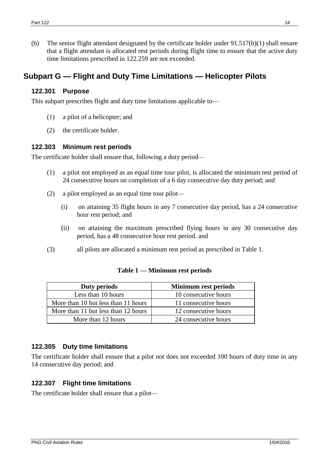(b) The senior flight attendant designated by the certificate holder under 91.517(b)(1) shall ensure that a flight attendant is allocated rest periods during flight time to ensure that the active duty time limitations prescribed in 122.259 are not exceeded.

# <span id="page-13-0"></span>**Subpart G — Flight and Duty Time Limitations — Helicopter Pilots**

#### <span id="page-13-1"></span>**122.301 Purpose**

This subpart prescribes flight and duty time limitations applicable to—

- (1) a pilot of a helicopter; and
- (2) the certificate holder.

# <span id="page-13-2"></span>**122.303 Minimum rest periods**

The certificate holder shall ensure that, following a duty period—

- (1) a pilot not employed as an equal time tour pilot, is allocated the minimum rest period of 24 consecutive hours on completion of a 6 day consecutive day duty period; and
- (2) a pilot employed as an equal time tour pilot—
	- (i) on attaining 35 flight hours in any 7 consecutive day period, has a 24 consecutive hour rest period; and
	- (ii) on attaining the maximum prescribed flying hours in any 30 consecutive day period, has a 48 consecutive hour rest period. and
- (3) all pilots are allocated a minimum rest period as prescribed in Table 1.

| Duty periods                        | <b>Minimum rest periods</b> |
|-------------------------------------|-----------------------------|
| Less than 10 hours                  | 10 consecutive hours        |
| More than 10 but less than 11 hours | 11 consecutive hours        |
| More than 11 but less than 12 hours | 12 consecutive hours        |
| More than 12 hours                  | 24 consecutive hours        |

# **Table 1 — Minimum rest periods**

# <span id="page-13-3"></span>**122.305 Duty time limitations**

The certificate holder shall ensure that a pilot not does not exceeded 100 hours of duty time in any 14 consecutive day period; and

# <span id="page-13-4"></span>**122.307 Flight time limitations**

The certificate holder shall ensure that a pilot—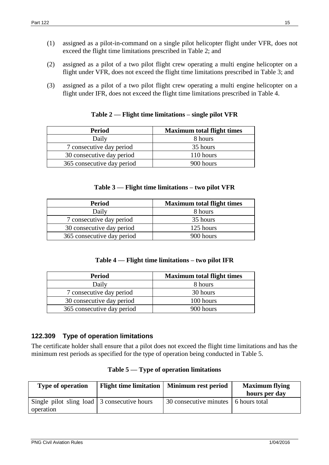- (1) assigned as a pilot-in-command on a single pilot helicopter flight under VFR, does not exceed the flight time limitations prescribed in Table 2; and
- (2) assigned as a pilot of a two pilot flight crew operating a multi engine helicopter on a flight under VFR, does not exceed the flight time limitations prescribed in Table 3; and
- (3) assigned as a pilot of a two pilot flight crew operating a multi engine helicopter on a flight under IFR, does not exceed the flight time limitations prescribed in Table 4.

| <b>Period</b>              | <b>Maximum total flight times</b> |  |
|----------------------------|-----------------------------------|--|
| Daily                      | 8 hours                           |  |
| 7 consecutive day period   | 35 hours                          |  |
| 30 consecutive day period  | 110 hours                         |  |
| 365 consecutive day period | 900 hours                         |  |

# **Table 2 — Flight time limitations – single pilot VFR**

#### **Table 3 — Flight time limitations – two pilot VFR**

| <b>Period</b>              | <b>Maximum total flight times</b> |
|----------------------------|-----------------------------------|
| Daily                      | 8 hours                           |
| 7 consecutive day period   | 35 hours                          |
| 30 consecutive day period  | 125 hours                         |
| 365 consecutive day period | 900 hours                         |

# **Table 4 — Flight time limitations – two pilot IFR**

| <b>Period</b>              | <b>Maximum total flight times</b> |
|----------------------------|-----------------------------------|
| Daily                      | 8 hours                           |
| 7 consecutive day period   | 30 hours                          |
| 30 consecutive day period  | 100 hours                         |
| 365 consecutive day period | 900 hours                         |

# <span id="page-14-0"></span>**122.309 Type of operation limitations**

The certificate holder shall ensure that a pilot does not exceed the flight time limitations and has the minimum rest periods as specified for the type of operation being conducted in Table 5.

| <b>Type of operation</b>                                         | Flight time limitation   Minimum rest period | <b>Maximum</b> flying<br>hours per day |
|------------------------------------------------------------------|----------------------------------------------|----------------------------------------|
| Single pilot sling load $\vert$ 3 consecutive hours<br>operation | 30 consecutive minutes 6 hours total         |                                        |

**Table 5 — Type of operation limitations**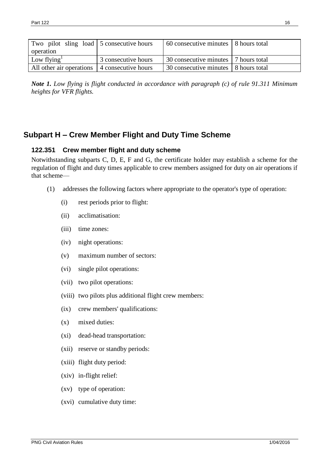| Two pilot sling load 5 consecutive hours     |                     | 60 consecutive minutes 3 hours total   |  |
|----------------------------------------------|---------------------|----------------------------------------|--|
| operation                                    |                     |                                        |  |
| Low flying                                   | 3 consecutive hours | 30 consecutive minutes 7 hours total   |  |
| All other air operations 4 consecutive hours |                     | 30 consecutive minutes   8 hours total |  |

*Note 1. Low flying is flight conducted in accordance with paragraph (c) of rule 91.311 Minimum heights for VFR flights.*

# <span id="page-15-0"></span>**Subpart H – Crew Member Flight and Duty Time Scheme**

# <span id="page-15-1"></span>**122.351 Crew member flight and duty scheme**

Notwithstanding subparts C, D, E, F and G, the certificate holder may establish a scheme for the regulation of flight and duty times applicable to crew members assigned for duty on air operations if that scheme—

- (1) addresses the following factors where appropriate to the operator's type of operation:
	- (i) rest periods prior to flight:
	- (ii) acclimatisation:
	- (iii) time zones:
	- (iv) night operations:
	- (v) maximum number of sectors:
	- (vi) single pilot operations:
	- (vii) two pilot operations:
	- (viii) two pilots plus additional flight crew members:
	- (ix) crew members' qualifications:
	- (x) mixed duties:
	- (xi) dead-head transportation:
	- (xii) reserve or standby periods:
	- (xiii) flight duty period:
	- (xiv) in-flight relief:
	- (xv) type of operation:
	- (xvi) cumulative duty time: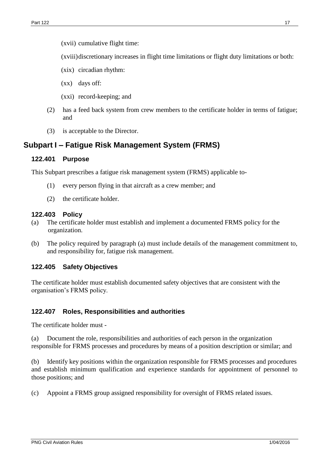- (xvii) cumulative flight time:
- (xviii)discretionary increases in flight time limitations or flight duty limitations or both:
- (xix) circadian rhythm:
- (xx) days off:
- (xxi) record-keeping; and
- (2) has a feed back system from crew members to the certificate holder in terms of fatigue; and
- (3) is acceptable to the Director.

# **Subpart I – Fatigue Risk Management System (FRMS)**

#### **122.401 Purpose**

This Subpart prescribes a fatigue risk management system (FRMS) applicable to-

- (1) every person flying in that aircraft as a crew member; and
- (2) the certificate holder.

#### **122.403 Policy**

- (a) The certificate holder must establish and implement a documented FRMS policy for the organization.
- (b) The policy required by paragraph (a) must include details of the management commitment to, and responsibility for, fatigue risk management.

# **122.405 Safety Objectives**

The certificate holder must establish documented safety objectives that are consistent with the organisation's FRMS policy.

# **122.407 Roles, Responsibilities and authorities**

The certificate holder must -

(a) Document the role, responsibilities and authorities of each person in the organization responsible for FRMS processes and procedures by means of a position description or similar; and

(b) Identify key positions within the organization responsible for FRMS processes and procedures and establish minimum qualification and experience standards for appointment of personnel to those positions; and

(c) Appoint a FRMS group assigned responsibility for oversight of FRMS related issues.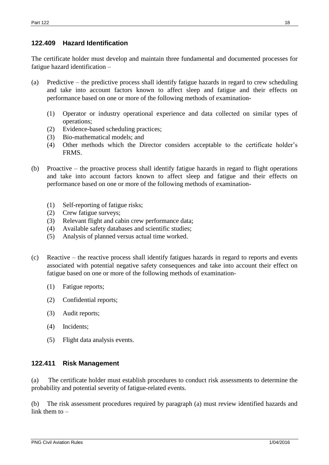# **122.409 Hazard Identification**

The certificate holder must develop and maintain three fundamental and documented processes for fatigue hazard identification –

- (a) Predictive the predictive process shall identify fatigue hazards in regard to crew scheduling and take into account factors known to affect sleep and fatigue and their effects on performance based on one or more of the following methods of examination-
	- (1) Operator or industry operational experience and data collected on similar types of operations;
	- (2) Evidence-based scheduling practices;
	- (3) Bio-mathematical models; and
	- (4) Other methods which the Director considers acceptable to the certificate holder's FRMS.
- (b) Proactive the proactive process shall identify fatigue hazards in regard to flight operations and take into account factors known to affect sleep and fatigue and their effects on performance based on one or more of the following methods of examination-
	- (1) Self-reporting of fatigue risks;
	- (2) Crew fatigue surveys;
	- (3) Relevant flight and cabin crew performance data;
	- (4) Available safety databases and scientific studies;
	- (5) Analysis of planned versus actual time worked.
- (c) Reactive the reactive process shall identify fatigues hazards in regard to reports and events associated with potential negative safety consequences and take into account their effect on fatigue based on one or more of the following methods of examination-
	- (1) Fatigue reports;
	- (2) Confidential reports;
	- (3) Audit reports;
	- (4) Incidents;
	- (5) Flight data analysis events.

# **122.411 Risk Management**

(a) The certificate holder must establish procedures to conduct risk assessments to determine the probability and potential severity of fatigue-related events.

(b) The risk assessment procedures required by paragraph (a) must review identified hazards and link them to –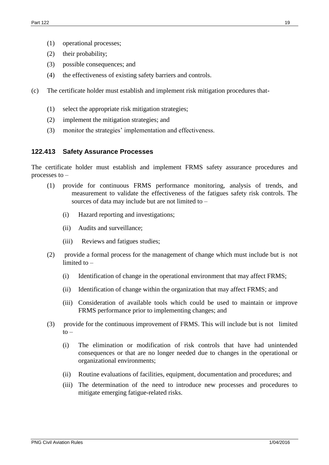- (1) operational processes;
- (2) their probability;
- (3) possible consequences; and
- (4) the effectiveness of existing safety barriers and controls.
- (c) The certificate holder must establish and implement risk mitigation procedures that-
	- (1) select the appropriate risk mitigation strategies;
	- (2) implement the mitigation strategies; and
	- (3) monitor the strategies' implementation and effectiveness.

# **122.413 Safety Assurance Processes**

The certificate holder must establish and implement FRMS safety assurance procedures and processes to –

- (1) provide for continuous FRMS performance monitoring, analysis of trends, and measurement to validate the effectiveness of the fatigues safety risk controls. The sources of data may include but are not limited to –
	- (i) Hazard reporting and investigations;
	- (ii) Audits and surveillance;
	- (iii) Reviews and fatigues studies;
- (2) provide a formal process for the management of change which must include but is not limited to –
	- (i) Identification of change in the operational environment that may affect FRMS;
	- (ii) Identification of change within the organization that may affect FRMS; and
	- (iii) Consideration of available tools which could be used to maintain or improve FRMS performance prior to implementing changes; and
- (3) provide for the continuous improvement of FRMS. This will include but is not limited  $to -$ 
	- (i) The elimination or modification of risk controls that have had unintended consequences or that are no longer needed due to changes in the operational or organizational environments;
	- (ii) Routine evaluations of facilities, equipment, documentation and procedures; and
	- (iii) The determination of the need to introduce new processes and procedures to mitigate emerging fatigue-related risks.